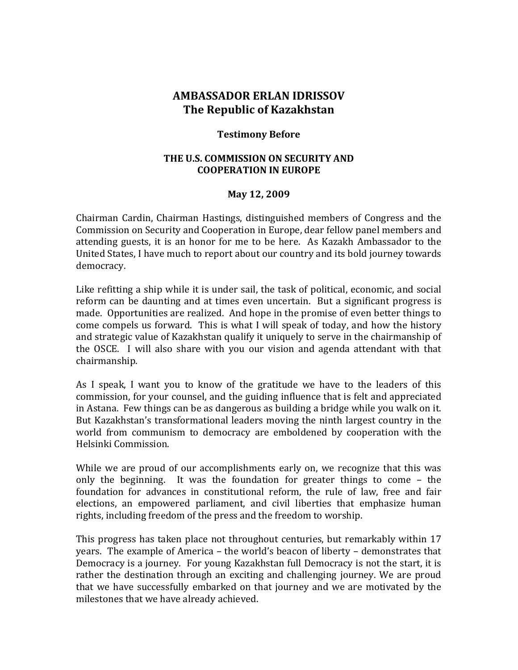## **AMBASSADOR ERLAN IDRISSOV The Republic of Kazakhstan**

## **Testimony Before**

## **THE U.S. COMMISSION ON SECURITY AND COOPERATION IN EUROPE**

## **May 12, 2009**

Chairman Cardin, Chairman Hastings, distinguished members of Congress and the Commission on Security and Cooperation in Europe, dear fellow panel members and attending guests, it is an honor for me to be here. As Kazakh Ambassador to the United States, I have much to report about our country and its bold journey towards democracy.

Like refitting a ship while it is under sail, the task of political, economic, and social reform can be daunting and at times even uncertain. But a significant progress is made. Opportunities are realized. And hope in the promise of even better things to come compels us forward. This is what I will speak of today, and how the history and strategic value of Kazakhstan qualify it uniquely to serve in the chairmanship of the OSCE. I will also share with you our vision and agenda attendant with that chairmanship.

As I speak, I want you to know of the gratitude we have to the leaders of this commission, for your counsel, and the guiding influence that is felt and appreciated in Astana. Few things can be as dangerous as building a bridge while you walk on it. But Kazakhstan's transformational leaders moving the ninth largest country in the world from communism to democracy are emboldened by cooperation with the Helsinki Commission.

While we are proud of our accomplishments early on, we recognize that this was only the beginning. It was the foundation for greater things to come – the foundation for advances in constitutional reform, the rule of law, free and fair elections, an empowered parliament, and civil liberties that emphasize human rights, including freedom of the press and the freedom to worship.

This progress has taken place not throughout centuries, but remarkably within 17 years. The example of America – the world's beacon of liberty – demonstrates that Democracy is a journey. For young Kazakhstan full Democracy is not the start, it is rather the destination through an exciting and challenging journey. We are proud that we have successfully embarked on that journey and we are motivated by the milestones that we have already achieved.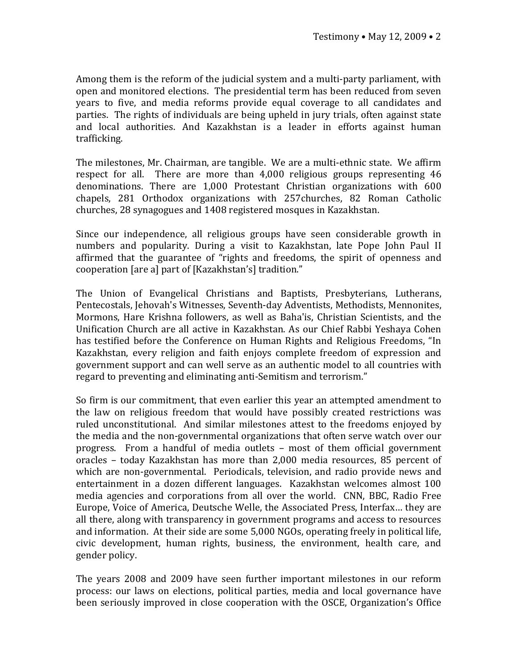Among them is the reform of the judicial system and a multi‐party parliament, with open and monitored elections. The presidential term has been reduced from seven years to five, and media reforms provide equal coverage to all candidates and parties. The rights of individuals are being upheld in jury trials, often against state and local authorities. And Kazakhstan is a leader in efforts against human trafficking.

The milestones, Mr. Chairman, are tangible. We are a multi‐ethnic state. We affirm respect for all. There are more than 4,000 religious groups representing 46 denominations. There are 1,000 Protestant Christian organizations with 600 chapels, 281 Orthodox organizations with 257churches, 82 Roman Catholic churches, 28 synagogues and 1408 registered mosques in Kazakhstan.

Since our independence, all religious groups have seen considerable growth in numbers and popularity. During a visit to Kazakhstan, late Pope John Paul II affirmed that the guarantee of "rights and freedoms, the spirit of openness and cooperation [are a] part of [Kazakhstan's] tradition."

The Union of Evangelical Christians and Baptists, Presbyterians, Lutherans, Pentecostals, Jehovah's Witnesses, Seventh‐day Adventists, Methodists, Mennonites, Mormons, Hare Krishna followers, as well as Baha'is, Christian Scientists, and the Unification Church are all active in Kazakhstan. As our Chief Rabbi Yeshaya Cohen has testified before the Conference on Human Rights and Religious Freedoms, "In Kazakhstan, every religion and faith enjoys complete freedom of expression and government support and can well serve as an authentic model to all countries with regard to preventing and eliminating anti‐Semitism and terrorism."

So firm is our commitment, that even earlier this year an attempted amendment to the law on religious freedom that would have possibly created restrictions was ruled unconstitutional. And similar milestones attest to the freedoms enjoyed by the media and the non‐governmental organizations that often serve watch over our progress. From a handful of media outlets – most of them official government oracles – today Kazakhstan has more than 2,000 media resources, 85 percent of which are non-governmental. Periodicals, television, and radio provide news and entertainment in a dozen different languages. Kazakhstan welcomes almost 100 media agencies and corporations from all over the world. CNN, BBC, Radio Free Europe, Voice of America, Deutsche Welle, the Associated Press, Interfax… they are all there, along with transparency in government programs and access to resources and information. At their side are some 5,000 NGOs, operating freely in political life, civic development, human rights, business, the environment, health care, and gender policy.

The years 2008 and 2009 have seen further important milestones in our reform process: our laws on elections, political parties, media and local governance have been seriously improved in close cooperation with the OSCE, Organization's Office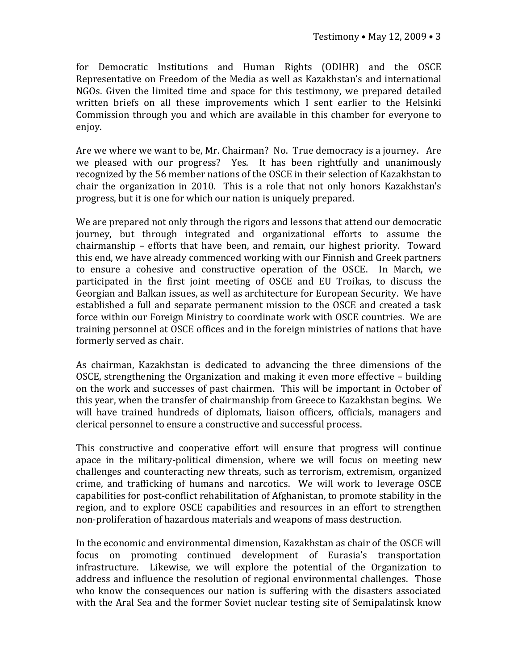for Democratic Institutions and Human Rights (ODIHR) and the OSCE Representative on Freedom of the Media as well as Kazakhstan's and international NGOs. Given the limited time and space for this testimony, we prepared detailed written briefs on all these improvements which I sent earlier to the Helsinki Commission through you and which are available in this chamber for everyone to enjoy.

Are we where we want to be, Mr. Chairman? No. True democracy is a journey. Are we pleased with our progress? Yes. It has been rightfully and unanimously recognized by the 56 member nations of the OSCE in their selection of Kazakhstan to chair the organization in 2010. This is a role that not only honors Kazakhstan's progress, but it is one for which our nation is uniquely prepared.

We are prepared not only through the rigors and lessons that attend our democratic journey, but through integrated and organizational efforts to assume the chairmanship - efforts that have been, and remain, our highest priority. Toward this end, we have already commenced working with our Finnish and Greek partners to ensure a cohesive and constructive operation of the OSCE. In March, we participated in the first joint meeting of OSCE and EU Troikas, to discuss the Georgian and Balkan issues, as well as architecture for European Security. We have established a full and separate permanent mission to the OSCE and created a task force within our Foreign Ministry to coordinate work with OSCE countries. We are training personnel at OSCE offices and in the foreign ministries of nations that have formerly served as chair.

As chairman, Kazakhstan is dedicated to advancing the three dimensions of the OSCE, strengthening the Organization and making it even more effective – building on the work and successes of past chairmen. This will be important in October of this year, when the transfer of chairmanship from Greece to Kazakhstan begins. We will have trained hundreds of diplomats, liaison officers, officials, managers and clerical personnel to ensure a constructive and successful process.

This constructive and cooperative effort will ensure that progress will continue apace in the military‐political dimension, where we will focus on meeting new challenges and counteracting new threats, such as terrorism, extremism, organized crime, and trafficking of humans and narcotics. We will work to leverage OSCE capabilities for post‐conflict rehabilitation of Afghanistan, to promote stability in the region, and to explore OSCE capabilities and resources in an effort to strengthen non‐proliferation of hazardous materials and weapons of mass destruction.

In the economic and environmental dimension, Kazakhstan as chair of the OSCE will focus on promoting continued development of Eurasia's transportation infrastructure. Likewise, we will explore the potential of the Organization to address and influence the resolution of regional environmental challenges. Those who know the consequences our nation is suffering with the disasters associated with the Aral Sea and the former Soviet nuclear testing site of Semipalatinsk know